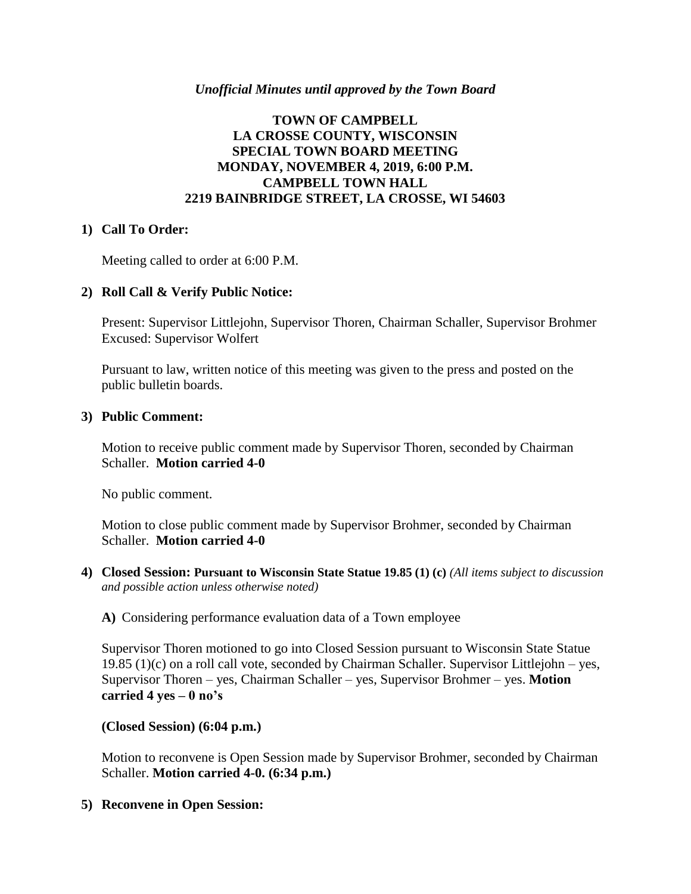## *Unofficial Minutes until approved by the Town Board*

# **TOWN OF CAMPBELL LA CROSSE COUNTY, WISCONSIN SPECIAL TOWN BOARD MEETING MONDAY, NOVEMBER 4, 2019, 6:00 P.M. CAMPBELL TOWN HALL 2219 BAINBRIDGE STREET, LA CROSSE, WI 54603**

## **1) Call To Order:**

Meeting called to order at 6:00 P.M.

## **2) Roll Call & Verify Public Notice:**

Present: Supervisor Littlejohn, Supervisor Thoren, Chairman Schaller, Supervisor Brohmer Excused: Supervisor Wolfert

Pursuant to law, written notice of this meeting was given to the press and posted on the public bulletin boards.

#### **3) Public Comment:**

Motion to receive public comment made by Supervisor Thoren, seconded by Chairman Schaller. **Motion carried 4-0**

No public comment.

Motion to close public comment made by Supervisor Brohmer, seconded by Chairman Schaller. **Motion carried 4-0**

**4) Closed Session: Pursuant to Wisconsin State Statue 19.85 (1) (c)** *(All items subject to discussion and possible action unless otherwise noted)*

#### **A)** Considering performance evaluation data of a Town employee

Supervisor Thoren motioned to go into Closed Session pursuant to Wisconsin State Statue 19.85 (1)(c) on a roll call vote, seconded by Chairman Schaller. Supervisor Littlejohn – yes, Supervisor Thoren – yes, Chairman Schaller – yes, Supervisor Brohmer – yes. **Motion carried 4 yes – 0 no's**

**(Closed Session) (6:04 p.m.)**

Motion to reconvene is Open Session made by Supervisor Brohmer, seconded by Chairman Schaller. **Motion carried 4-0. (6:34 p.m.)**

**5) Reconvene in Open Session:**